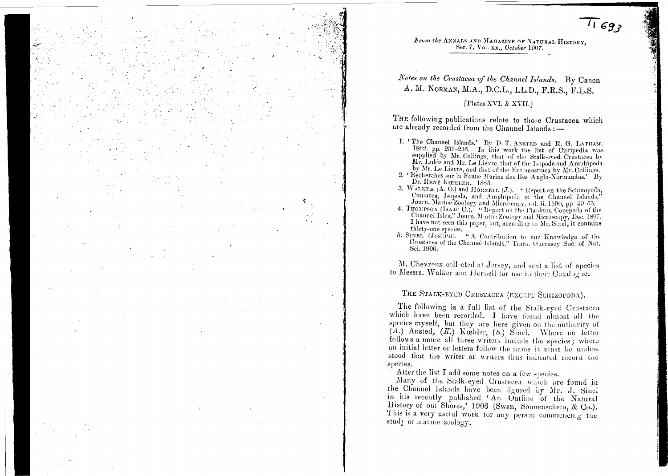

 $11697$ 

Notes on the Crustacea of the Channel Islands. By Canon A. M. NORMAN, M.A., D.C.L., LL.D., F.R.S., F.L.S.

#### [Plates XVI. & XVII.]

THE following publications relate to those Crustacea which are already recorded from the Channel Islands :-

- 1. The Channel Islands.' By D. T. ANSTED and R. G. LATHAM.<br>1862, pp. 231-235. In this work the list of Cirripedia was supplied by Mr. Collings, that of the Stalk-eyed Crustacea by Mr. Lukis and Mr. Le Lievre, that of the Isopoda and Amphipoda by Mr. Le Lievre, and that of the Entomostraca by Mr. Collings.
- 2. 'Recherches sur la Faune Marine des Iles Auglo-Normandes.' By Dr. RENÉ KŒHLER. 1885.
- 3. WALKER (A. O.) and HORNELL (J.). "Report on the Schizopoda, Cumacea, Isopoda, and Amphipoda of the Channel Islands,
- Journ. Marine Zoology and Microscopy, vol. ii. 1896, pp. 49-55.<br>4. THOMPSON (ISAAC C.). "Report on the Plankton Copepoda of the Channel Isles," Journ. Marine Zoology and Microscopy, Dec. 1897. I have not seen this paper, but, according to Mr. Sinel, it contains thirty-one species.
- 5. SINEL (JOSEPH). " A Contribution to our Knowledge of the Crustacea of the Channel Islands," Trans. Guernsey Soc. of Nat. Sci. 1906.

M. Chevreux coll-cted at Jersey, and sent a list of species to Messrs. Walker and Hornell for use in their Catalogue.

# THE STALK-EYED CRUSTACEA (EXCEPT SCHIZOPODA).

The following is a full list of the Stalk-eyed Crustacea which have been recorded. I have found almost all the species myself, but they are here given on the authority of (A.) Ansted, (K.) Koshler, (S.) Sinel. Where no letter follows a name all three writers include the species; where an initial letter or letters follow the name it must be understood that the writer or writers thus indicated record the species.

After the list I add some notes on a few species.

Many of the Stalk-eyed Crustacea which are found in the Channel Islands have been figured by Mr. J. Sinel in his recently published 'An Outline of the Natural History of our Shores,' 1906 (Swan, Sonnenschein, & Co.). This is a very useful work for any person commencing the study of marine zoology.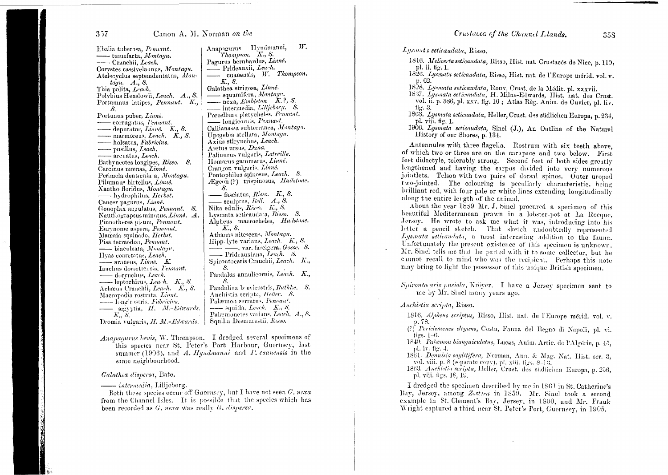### Canon A. M. Norman on the

Ebalia tuberosa. Pennant. - tumefacta, Montaqu. - Cranchii, Leach. Corvstes cassivelaunus, Montagu. Atelecyclus septemdentatus, Mon $tagu. A., S.$ Thia polita, Leach. Polybius Henslowii, Leach. A., S. Portunique latipes, Pennant. K., -S. Portunus puber, Linné. corrugatus, Pennant. - depurator, Linné. K., S.  $-$  marmoreus, Leach.  $K$ , S. - holsatus, Fabricius. - pusillus, Leach. - arcuatus, Leach. Bathvnectes longipes, Risso. S. Carcinus mœnas, Linné. Perimela denticula a, Montagu. Pilumnus hirtellus, Linné. Xantho floridus, Montagu. - hydrophilus, Herbst. Cancer pagurus, Linné. Gonoplax angulatus, Pennant. S. Nautilograpsus minutus, Linné. A. Pinnotheres pisum, Pennant. Eurynome aspera, Pennant, Mamaia squinado, Herbst. Pisa tetraodon, Pennant. - biaculeata, Montagu. Hyas coarctatus, Leach.  $\frac{1}{\sqrt{2}}$  araneus, Linné. K. Inachus dorsettensis, *Fennant*. - dorvnchus, Leach. -leptochirus, Leach. K., S. Achaeus Cranchii, Leach. K., S. Maeropodia rostrata, Linné. - longirostris, *Fabricius*. egyptia, H. M.-Edwards.  $K$   $S$ . Dromia vulgaris, H. M.-Edwards.

Anapagurus II yndmanni.  $W$ . Thompson. K., S. Pagurus bernhardus, Linné. - Prideauxii, Leach. cuanensis, W. Thompson. K., S. Galathea strigosa, Linné. squamifera, Montagu. mexa, Embleton K.P. S.  $\frac{1}{\sqrt{2}}$  intermedia, *Lilljeborg*. *S.* Porcellana platycheles, Pennant. - longicornis, Peanant. Callianassa subterranea, Montagu. Upogebia stellata, Montagu. Axius stirvnehus, Leach. Arctus ursus, Dana. Palinurus vulgaris, Latreille. Homarus gammarus, Linné. Crangon vulgaris, Linné. Pontophilus spinosus, Leach. S. Ægeon (?) trispinosus, Hailstone.  $\mathcal{S}$ .  $-$  fasciatus, Risso. K., S. - sculptus,  $Bell.$   $A., S.$ Nika edulis, Risso. K., S. Lysmata seticaudata, Risso. S. Alpheus macrocheles, Hailstone. K., S. Athanas nitescens, Montagu. Hippelyte varians, Leach. K., S. —, var. fascigera. Gosse. S. Prideauxiana, Leach. S. Spiroutocaris Cranchii, Leach. K.,  $\mathcal{S}$ . Pandalus annulicornis, Leach. K., Pandalina b evirostris, Rathle. S. Anchistia scripta, Heller. S. Palæmon serratus, Pennant.  $---$  squilla, Leach. K., S. Palæmonetes varians, Leach, A., S. Squilla Desmarestii, Rasso.

Anapagurus lævis, W. Thompson. I dredged several specimens of this species near St. Peter's Port Harbour, Guernsey, last summer (1906), and  $A$ . Hyndmanni and  $P$ . cuanensis in the same neighbourhood.

#### Galathea dispersa, Bate.

- *intermedia*, Lillieborg.

Both these species occur off Guernsey, but I have not seen G. nexa from the Channel Isles. It is possible that the species which has been recorded as G. nexa was really G. dispersa.

Lysmata seticaudata, Risso.

- 1816. Melicerta seticaudata, Risso, Hist. nat. Crustacés de Nice, p. 110, pl. ii. fig. 1.
- 1826. Lysmata seticaudata, Risso, Hist. nat. de l'Europe mérid. vol. v. p. 62.

1828. Lysmata seticaudata, Roux, Crust. de la Médit. pl. xxxvii.

- 1837. Lysmata seticandata, H. Milne-Edwards, Hist. nat. des Crust. vol. ii. p. 386, pl. xxv. fig. 10; Atlas Règ. Anim. de Cuvier, pl. liv. fig.  $3.$
- 1863. Lysmata seticaudata, Heller, Crust. des südlichen Europa, p. 234. pl. viii. fig. 1.
- 1906. Lysmata seticaudata, Sinel (J.), An Outline of the Natural History of our Shores, p. 134.

Antennules with three flagella. Rostrum with six teeth above. of which two or three are on the carapace and two below. First feet didactyle, tolerably strong. Second feet of both sides greatly lengthened and having the carpus divided into very numerous jointlets. Telson with two pairs of dorsal spines. Outer uropod two-jointed. The colouring is peculiarly characteristic, being brilliant red, with four pale or white lines extending longitudinally along the entire length of the animal.

About the vear 1859 Mr. J. Sinel procured a specimen of this beautiful Mediterranean prawn in a lobster-pot at La Rocque, Jersey. He wrote to ask me what it was, introducing into his letter a pencil sketch. That sketch undoubtedly represented Lysmata seticaudata, a most interesting addition to the fauna. Unfortunately the present existence of this specimen is unknown. Mr. Sinel tells me that he parted with it to some collector, but he cunnot recall to mind who was the recipient. Perhaps this note may bring to light the possessor of this unique British specimen.

Spirontocaris pusiola, Kröver. I have a Jersey specimen sent to me by Mr. Sinel many years ago.

Anchistia scripta, Risso.

1816. Alpheus scriptus, Risso, Hist. nat. de l'Europe mérid. vol. v. p. 78.

- (?) Periclemenes elegans, Costa, Fauna del Regno di Napoli, pl. vi. figs.  $1-6$ .
- 1845. Palæmon biunguiculatus, Lucas, Anim. Artic. de l'Algérie, p. 45, pl. iv. fig. 4.
- 1861. Dennisia sagittifera, Norman, Ann. & Mag. Nat. Hist. ser. 3, vol. viii. p. 8 (separate copy), pl. xiii. figs.  $8-13$ .
- 1863. Anchistia scripta, Heller, Crust. des südlichen Europa, p. 256, pl. viii. figs. 18, 19.

I dredged the specimen described by me in 1861 in St. Catherine's Bay, Jersey, among Zostera in 1859. Mr. Sinel took a second example in St. Clement's Bay, Jersey, in 1890, and Mr. Frank Wright captured a third near St. Peter's Port, Guernsey, in 1905.

 $357$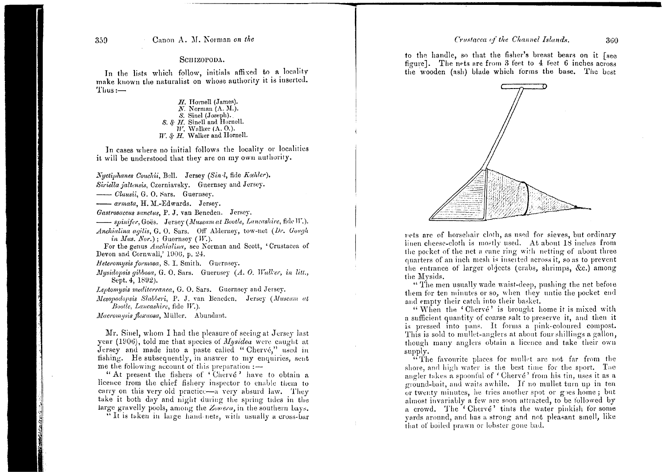#### Crustacea of the Channel Islands.

360

#### Canon A. M. Norman on the

#### SCHIZOPODA.

In the lists which follow, initials affixed to a locality make known the naturalist on whose authority it is inserted.  $Thus:$ 

> $H.$  Hornell (James).  $N.$  Norman  $(A. M.).$ S. Sinel (Joseph). S. & H. Sinell and Hornell.  $W$ . Walker (A. O.).  $W$ . &  $H$ . Walker and Hornell.

In cases where no initial follows the locality or localities it will be understood that they are on my own authority.

Nyctiphanes Couchii, Bell. Jersey (Sin l, fide Kæhler). Siriella jaltensis, Czerniavsky. Guernsey and Jersey. ----- Clausii, G. O. Sars. Guernsey. - armata, H. M.-Edwards. Jersey. Gastrosaccus sanctus, P. J. van Beneden. Jersey. -spinifer, Goës. Jersey (Museum at Bootle, Lancashire, fide W.).

Anchialina agilis, G. O. Sars. Off Alderney, tow-net (Dr. Gough *in Mus. Nor.*): Guernsey *(W.).* 

For the genus Anchialina, see Norman and Scott, 'Crustacea of Devon and Cornwall,' 1906, p. 24.

Heteromysis formosa, S. I. Smith. Guernsey.

Mysidopsis gibbosa, G. O. Sars. Guernsey (A. O. Walker, in litt., Sept. 4, 1892).

Leptomysis mediterranea, G. O. Sars. Guernsey and Jersey.

Mesopodopsis Slabberi, P. J. van Beneden. Jersey (Museum at Bootle, Lancashire, fide W.).

Macromysis flexuosa, Müller. Abundant.

Mr. Sinel, whom I had the pleasure of seeing at Jersey last year (1906), told me that species of *Mysidea* were caught at Jersey and made into a paste called "Cherve," used in fishing. He subsequently, in answer to my enquiries, sent me the following account of this preparation :-

"At present the fishers of 'Chervé' have to obtain a licence from the chief fishery inspector to enable them to carry on this very old practice—a very absurd law. They take it both day and night during the spring tides in the large gravelly pools, among the Zosiera, in the southern bays.

"It is taken in large hand nets, with usually a cross-bar

to the handle, so that the fisher's breast bears on it [see figure]. The nets are from 3 feet to 4 feet 6 inches across the wooden (ash) blade which forms the base. The best



nets are of horsehair cloth, as used for sieves, but ordinary linen cheese-cloth is mostly used. At about 18 inches from the pocket of the net a cane ring with netting of about three quarters of an inch mesh is inserted across it, so as to prevent the entrance of larger objects (crabs, shrimps, &c.) among the Mysids.

"The men usually wade waist-deep, pushing the net before them for ten minutes or so, when they untie the pocket end and empty their catch into their basket.

"When the 'Chervé' is brought home it is mixed with a sufficient quantity of coarse salt to preserve it, and then it is pressed into pans. It forms a pink-coloured compost. This is sold to mullet-anglers at about four shillings a gallon, though many anglers obtain a licence and take their own supply.

"The favourite places for mullet are not far from the shore, and high water is the best time for the sport. The angler takes a spoonful of 'Chervé' from his tin, uses it as a ground-bait, and waits awhile. If no mullet turn up in ten or twenty minutes, he tries another spot or goes home; but almost invariably a few are soon attracted, to be followed by a crowd. The 'Chervé' tints the water pinkish for some vards around, and has a strong and not pleasant smell, like that of boiled prawn or lobster gone bad.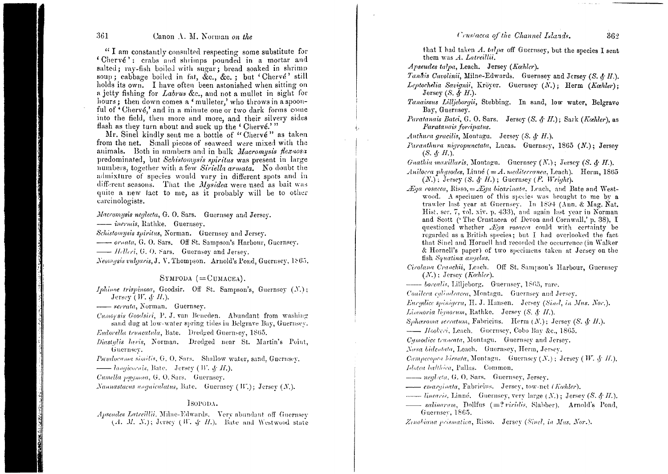Crustacea of the Channel Islands.

#### 361

### Canon A. M. Norman on the

"I am constantly consulted respecting some substitute for 'Chervé': crabs and shrimps pounded in a mortar and salted; ray-fish boiled with sugar; bread soaked in shrimp soup; cabbage boiled in fat, &c., &c.; but 'Chervé' still holds its own. I have often been astonished when sitting on a jetty fishing for Labrus &c., and not a mullet in sight for hours; then down comes a 'mulleter,' who throws in a spoonful of 'Chervé.' and in a minute one or two dark forms come into the field, then more and more, and their silvery sides flash as they turn about and suck up the 'Chervé.'"

Mr. Sinel kindly sent me a bottle of "Chervé" as taken from the net. Small pieces of seaweed were mixed with the animals. Both in numbers and in bulk Macromysis flexuosa predominated, but Schistomysis spiritus was present in large numbers, together with a few Siriella armata. No doubt the admixture of species would vary in different spots and in different seasons. That the *Musidea* were used as bait was quite a new fact to me, as it probably will be to other carcinologists.

Macromysis neglecta, G. O. Sars. Guernsey and Jersey. - inermis, Rathke. Guernsey.

Schistomysis spiritus, Norman. Guernsey and Jersey.

-ornata, G. O. Sars. Off St. Sampson's Harbour, Guernsey.

Neomysis vulgaris, J. V. Thompson. Arnold's Pond, Guernsey, 1865.

## $Sympoba (=CUMACEA).$

Iphinoe trispinosa, Goodsir. Off St. Sampson's, Guernsey (N.); Jersey (*W. & H.*).

--- serrata, Norman. Guernsey.

Cumorsis Goodsiri, P. J. van Beneden. Abundant from washing sand dug at low-water spring tides in Belgrave Bay, Guernsev.

Eudorella truncatula, Bate. Dredged Guernsev, 1865.

Diastylis lavis, Norman. Dredged near St. Martin's Point, Guernsey.

Pscudocuma similis, G. O. Sars. Shallow water, sand, Guernsey.

 $\overline{\phantom{C}}$  *longicornis*, Bate. Jersey (*W. & H.*).

Cumella purimiea, G. O. Sars. Guernsey.

Nannastacas unquiculatus, Bate. Guernsey (W.); Jersey (N.).

#### ISOPODA.

Apseudes Latreillii. Milne-Edwards. Very abundant off Guernsey  $(A, M, N)$ ; Jersey  $(W, \phi, H)$ . Bate and Westwood state that I had taken A. talpa off Guernsey, but the species I sent them was A. Latreillii.

Apseudes talpa, Leach. Jersey (Kæhler).

Tandis Cavolinii. Milne-Edwards. Guernsey and Jersey (S. & H.).

Lentochelia Savianii. Kröver. Guerusev (N.); Herm (Kæhler): Jersey  $(S, \mathcal{L} H)$ .

- Tanaissus Lilljeborgii, Stebbing, In sand, low water, Belgrave Bay, Guernsey.
- Paratanais Batei, G. O. Sars. Jersey (S. & H.); Sark (Kæhler), as Paratanais for inatus.

Anthura gracilis. Montagu. Jersey (S. & H.).

Paranthura nigropunctata, Lucas. Guernsey, 1865 (N.): Jersey  $(S, \mathcal{A}, H)$ .

Guathia maxillaris, Montagu. Guernsey  $(N.)$ : Jersey  $(S, \mathcal{L} H)$ .

- Anilocra physodes. Linné  $(=A,$  mediterranea. Leach). Herm. 1865  $(N.)$ ; Jersey  $(S, \mathcal{L}^H)$ ; Guernsey  $(F, Wright)$ .
- $\mathcal{L}$ ga rosacea, Risso,  $=\mathcal{L}$ ga bicarinata, Leach, and Bate and Westwood. A specimen of this species was brought to me by a trawler last year at Guernsey. In 1894 (Ann. & Mag. Nat. Hist. ser. 7, vol. xiv. p. 433), and again last year in Norman and Scott ('The Crustacea of Devon and Cornwall,' p. 38). I questioned whether *Eqa rosacea* could with certainty be regarded as a British species: but I had overlooked the fact that Sinel and Hornell had recorded the occurrence (in Walker & Hornell's paper) of two specimens taken at Jersey on the fish Squatina annelus.
- Cirolana Cranchii, Leach. Off St. Sampson's Harbour, Guernsey  $(N.)$ : Jersey (Kæhler).

- borealis, Lillieborg. Guernsey, 1865, rare.

Conilera culindracea, Montagu. Guernsey and Jersey.

Eurydice spinigera, H. J. Hansen. Jersey (Sind, in Mus. Nor.).

Limnoria liquorum, Rathke. Jersey  $(S, \mathcal{A}, H)$ .

Sphæroma serratum, Fabricius. Herm  $(N_i)$ ; Jersey (S. & H.).

- Hookeri, Leach. Guernsey, Cobo Bay &c., 1865.

Cymodice truncata, Montagu. Guernsey and Jersey.

Nesa bidentata, Leach. Guernsey, Herm, Jersey.

Campecopea hirsuta, Montagu. Guernsey  $(N_*)$ ; Jersey (W. & H.). Idotea balthica, Pallas. Common.

- neglecta, G. O. Sars. Guernsey, Jersey.

- emarginata, Fabricius. Jersey, tow-net (Kæhler).

*inearis*, Linné. Guernsey, very large  $(N.)$ ; Jersey  $(S, \mathcal{L}H)$ .  $\frac{1}{\sqrt{2}}$  salinarum, Dollfus  $(=? \, viridis, \, Slabber)$ . Arnold's Pond. Guernsey, 1865.

Zenobiana prismatica, Risso. Jersey (Sinel, in Mus. Nor.).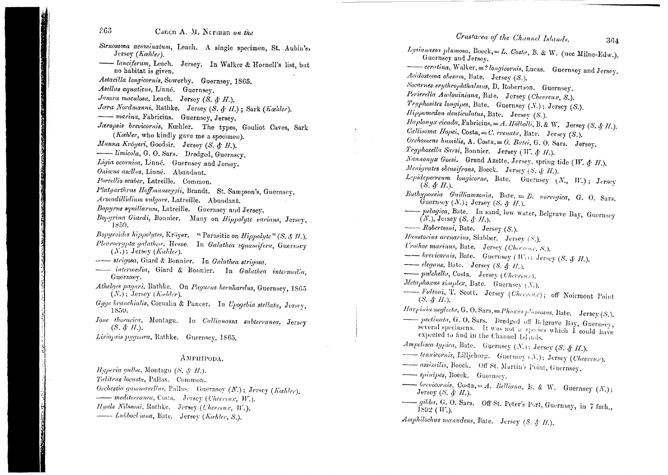- Stenosoma acuminatum, Leach. A single specimen, St. Aubin's,  $Jerses(Kæhler)$ .
- lanciferum, Leach. Jersey. In Walker & Hornell's list, but no habitat is given.
- Astacilla longicornis, Sowerby. Guernsey, 1865.
- Asellus aquaticus, Linné. Guernsey.
- Janıra maculosa, Leach. Jersey (S. & H.).
- Jæra Nordmanni, Rathke. Jersey (S. & II.); Sark (Kæhler).
- marina, Fabricius. Guernsey, Jersey.
- Jæropsis brevicornis, Kæhler. The types, Gouliot Caves, Sark (Kæhler, who kindly gave me a specimen).
- Munna Kröyeri, Goodsir. Jersey (S. & H.).
- -imicola, G. O. Sars. Dredged, Guernscy.
- Ligia oceanica, Linné. Guernsey and Jersey.
- Oniscus asellus, Linné. Abundant.
- Porcellio scaber, Latreille. Common.
- Platyarthrus Hoffmanseggii, Brandt. St. Sampson's, Guernsey.
- Armadillidium vulgare, Latreille. Abundant.
- Bopyrus squillarum, Latreille. Guernsey and Jersey.
- Bopyrina Giardi, Bonnier. Many on Hippolyte varians, Jersey, 1859.
- Bopyroides hippolytes, Kröyer. "Parasitic on Hippolyte" (S. & H.). Pleurocrypta galathea, Hesse. In Galathea squamifera, Guernsey  $(N.)$ ; Jersey (Kachler).
- -- strigosa, Giard & Bonnier. In Galathea strigosa.
- intermedia, Giard & Bonnier. In Galathea intermedia, Guernsey.
- Athelaes paguri, Rathke. On Pagurus bernhardus, Guernsey, 1865  $(X_i)$ ; Jersey (Kaehler).
- Gyge branchialis, Cornalia & Pancer. In Upogebia stellata, Jersey, 1859.
- Ione thoracica, Montagu. In Callianassa subterranea, Jersey  $(S, \mathcal{S}, \mathcal{H}).$
- Liriopsis pygmæa, Rathke. Guernsey, 1865.

#### AMPHIPODA.

Hyperia galba, Montagu (S. § H.). Talitrus locusta, Pallas. Common. Orchestia gammarellus, Pallas. Guernsey (N.); Jersey (Kæhler). -- mediterranea, Costa. Jersey (Chevreux, W.). Hyale Nilssoni, Rathke. Jersey (Chevreux, W.). - Lubbockiana, Bate. Jersey (Kæhler, S.).

Crustacea of the Channel Islands.

Lysianassa plumosa, Boeck,=L. Costa, B. & W. (nec Milne-Edw.). Guernsey and Jersey. - ceratina, Walker, =? longicornis, Lucas. Guernsey and Jersey. Acidostoma obesum, Bate. Jersey (S.). Socarnes erythrophthalmus, D. Robertson. Guernsey. Perierella Audouiniana, Bate. Jersey (Chevreux, S.). Tryphosites longipes, Bate. Guernsey (N.); Jersey (S.). Hippomedon denticulatus, Bate. Jersey (S.). Haplonyx cicada, Fabricius, = A. Hölbolli, B. & W. Jersey (S. § H.). Callisoma Hopei, Costa, = C. crenata, Bate. Jersey (S.). Orchomene humilis, A. Costa, = O. Batei, G. O. Sars. Jersey, Tryphosella Sarsi, Bonnier. Jersey (W. & H.). Nannonyx Goesi. Grand Azette, Jersey, spring tide (W. & H.). Menigrates obtusifrons, Boeck. Jersey (S. & H.). Lepidepecreum longicorne, Bate. Guernsey (N., W.); Jersey  $(S, d, H)$ . Bathyporeia Guilliamsonia, Bate,  $= E$ . norvegica, G. O. Sars. Guernsey  $(N.)$ ; Jersey  $(S, \mathcal{F} H.).$ -pelagica, Bate. In sand, low water, Belgrave Bay, Guernsey  $(N.)$ , Jersey  $(S, \mathcal{L} H)$ .  $\longrightarrow$  Robertsoni, Bate. Jersey (S.). Haustorius arenarius, Slabber. Jersey (S.). Urothoe marinus, Bate. Jersey (Cherrene, S.). -- brevicornis, Bate. Guernsey (W.): Jersey (S. § H.).  $\overline{\phantom{a}}$  elegans, Bate. Jersey (S. & H.). - pulchella, Costa. Jersey (Chevreus). Metaphoxus simplex, Bate. Guernsey (N.). Fultoni, T. Scott. Jersey (Cheerease); off Noirmont Point  $(S, \mathcal{L}^{\bullet} H)$ . Harpinia neglecta, G. O. Sars, = Phoxus plamosus, Bate. Jersey (S.). -pectinata, G. O. Sars. Dredged off Belgrave Bay, Guernsey, several specimens. It was not a species which I could have expected to find in the Channel Islands. Ampelisca typica, Bate. Guernsey  $(N.):$  Jersey (S. § II.). tenuicornis, Lilljeborg. Guernsey (N.); Jersey (Chevreu,c). - assimilis, Boeck. Off St. Martin's Point, Guernsey. - spinipes, Boeck. Guernsey. - brevicornis, Costa, = A. Belliana, B. & W. Guernsey  $(N)$ ; Jersey (S.  $\oint H$ .). -oilba, G. O. Sars. Off St. Peter's Port, Guernsey, in 7 fath.,  $1892$  (*W*.). Amphilochus manudens, Bate. Jersey (S. & H.).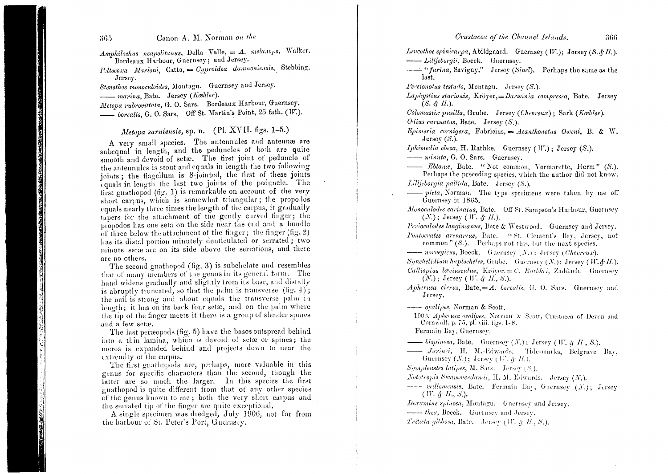365

Amphilochus neapolitanus, Della Valle, =  $\Lambda$ . melanops, Walker. Bordeaux Harbour, Guernsey; and Jersey.

Peltocoxa Marioni, Catta, =  $C_{\ell}$ proidea damnoniensis, Stebbing. Jersey.

Stenothoe monoculoides, Montagu. Guernsey and Jersey.

- marina, Bate. Jersey (Kæhler).

Metopa rubrovittata, G. O. Sars. Bordeaux Harbour, Guernsey. borealis, G. O. Sars. Off St. Martin's Point, 25 fath. (W.).

# Metopa sarniensis, sp. n. (Pl. XVII. figs. 1-5.)

A very small species. The antennules and antennæ are subequal in length, and the peduncles of both are quite smooth and devoid of setae. The first joint of peduncle of the antennules is stout and equals in length the two following joints; the flagellum is 8-jointed, the first of these joints equals in length the last two joints of the peduncle. The first gnathopod (fig. 1) is remarkable on account of the very short carpus, which is somewhat triangular; the propolos equals nearly three times the length of the carpus, it gradually tapers for the attachment of the gently curved finger; the propodos has one seta on the side near the end and a bundle of three below the attachment of the finger; the finger (fig. 2) has its distal portion minutely denticulated or serrated; two minute setæ are on its side above the serrations, and there are no others.

The second gnathopod (fig. 3) is subchelate and resembles that of many members of the genus in its general form. The hand widens gradually and slightly from its base, and distally is abruptly truncated, so that the palm is transverse  $(fig. 4)$ ; the nail is strong and about equals the transverse palm in length; it has on its back four set ee, and on the palm where the tip of the finger meets it there is a group of slender spines and a few setæ.

The last peræopods (fig. 5) have the bases outspread behind into a thin lamina, which is devoid of setae or spines; the meros is expanded behind and projects down to near the extremity of the carpus.

The first gnathopods are, perhaps, more valuable in this genus for specific characters than the second, though the latter are so much the larger. In this species the first gnathopod is quite different from that of any other species of the genus known to me; both the very short carpus and the serrated tip of the finger are quite exceptional.

A single specimen was dredged, July 1906, not far from the harbour of St. Peter's Port, Guernsey.

Leucothoe spinicarpa, Abildgaard. Guernsey (W.); Jersey (S. & H.). --- Lilljeborgii, Boeck. Guernsey.

- "furina, Savigny." Jersey (Sinel). Perhaps the same as the last.

Pereionotus testudo, Montagu. Jersey (S.).

Laphystius sturionis, Kröyer,= Darwinia compressa, Bate. Jersey  $(S, \mathcal{L} H)$ .

Colomastix pusilla, Grube. Jersey (Chevreux); Sark (Kæhler).

Odius carinatus, Bate. Jersey  $(S<sub>.</sub>)$ .

 $Epimeria$  cornigera, Fabricius, = Acanthonotus Oweni, B. & W. Jersey  $(S<sub>1</sub>)$ .

Iphimedia obesa, H. Rathke. Guernsey (W.); Jersey (S.).

- minuta, G. O. Sars. Guernsey.

- Eblance, Bate. "Not common, Vermarette, Herm" (S.). Perhaps the preceding species, which the author did not know. Lilljeborgia pallida, Bate. Jersey (S.).

- picta, Norman. The type specimens were taken by me off Guernsey in 1865.

Monoculodes carinatus, Bate. Off St. Sampson's Harbour, Guernsey  $(N.)$ ; Jersey (W. & H.).

Perioculodes longimanus, Bate & Westwood. Guernsey and Jersey. Pontocrates arenarius, Bate. "St. Clement's Bay, Jersey, not

common"  $(S<sub>1</sub>)$ . Perhaps not this, but the next species. *---- norvegicus*, Boeck. Guernsey  $(N_1)$ ; Jersey (*Chevreux*).

Synchelidiam haplocheles, Grube. Guernsey  $(N.)$ : Jersey (W. § H.).

Calliopius laviasculus, Kröyer.= C. Rathkei, Zaddach. Guernsey  $(N.)$ ; Jersey (*W. & H., S.*).

Apherusa cirrus, Bate,  $=$  A. borealis, G. O. Sars. Guernsey and Jersey.

-- ovalipes, Norman & Scott,

1903. Apherusa ovalipes, Norman & Scott, Crustacea of Devon and Cornwall, p. 75, pl. viii. figs. 1-8.

Fermain Bay, Guernsey.

*ispinesa*, Bate. Guernsey  $(N)$ ; Jersey  $(W, \mathcal{L} | H, S)$ .

- Jurinzi, H. M.-Edwards. Tide-marks, Belgrave Bay, Guernsey  $(N_*)$ ; Jersey (W, & H.).

Sympleustes latipes, M. Sars. Jersey (S.).

Nototropis Swammerdamii, H. M.-Edwards. Jersey (N.).

- vedlomensis, Bate. Fermain Bay, Guernsey (N.); Jersey  $(W, \mathcal{S}, H, \mathcal{S})$ .

Dexamine spinosa, Montagu. Guernsey and Jersey.

- thea, Boeck. Guernsey and Jersey.

Tritota gibbosa, Bate. Jeisey (W. § H., S.).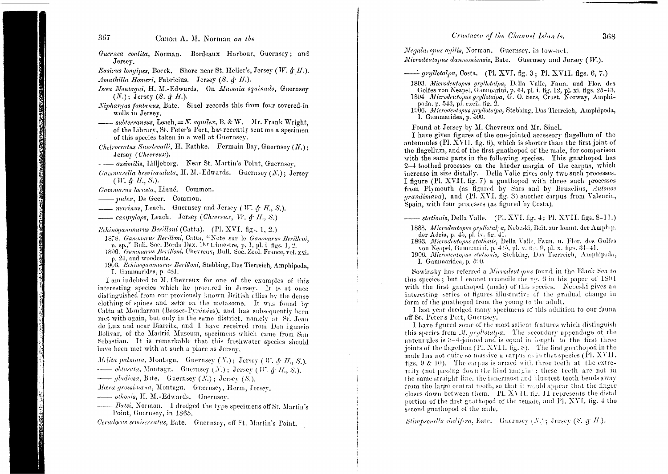#### Crustacea of the Channel Islands.

- Guernea coalita, Norman. Bordeaux Harbour, Guernsey; and Jersey.
- *Eusirus longines*, Bocck, Shore near St. Helier's, Jersey (*W.*  $\oint H$ *.*). Amathilla Homeri, Fabricius. Jersey (S. & H.).
- Iscea Montaqui, H. M.-Edwards. On Mamaia squinado, Guernsey  $(N.)$ ; Jersey  $(S. \mathcal{L} H.).$
- Nipharqus fontanus, Bate. Sinel records this from four covered in wells in Jersey.
- $\frac{1}{1}$  subterraneus, Leach,  $\equiv N$ . aquilex, B. & W. Mr. Frank Wright, of the Library, St. Peter's Port, has recently sent me a specimen of this species taken in a well at Guernsey.
- Cheirocratus Sundevalli, H. Rathke. Fermain Bay, Guernsey  $(N.):$ Jersey (Chevreux).
- assimilis, Lillieborg. Near St. Martin's Point, Guernsey.
- *Gammarella brevicaudata*, H. M.-Edwards. Guernsey  $(N.)$ ; Jersey  $(W, \phi, H, S)$ .

Gammarus locusta, Linné. Common.

- pulex, De Geer. Common.

- *marinus*, Leach. Guernsey and Jersey (*W. & H. S.*).
- $\frac{1}{\sqrt{1-\lambda}}$  campulops, Leach. Jersey (Chevreux, W. & H., S.)

*Echinogammarus Berilloni* (Catta). (Pl. XVI. figs. 1, 2.)

- 1878. Gammarus Berilloni, Catta, "Note sur le Gammarus Berilleni. n. sp.," Bull. Soc. Borda Dax. 1ser trimestre, p. 1, pl. i figs. 1, 2. 1896. Gammarus Berilloni, Chevreux, Bull. Soc. Zool. France, vel. xxi.
- p. 24, and woodents.
- 1966. Echinogammarus Berilloni, Stebbing, Das Tierreich, Amphipoda. - I. Gammaridea, p. 481.

I am indebted to M. Chevreux for one of the examples of this interesting species which he procured in Jersey. It is at once distinguished from our previously known British allies by the dense clothing of spines and setæ on the metasome. It was found by Catta at Mondarran (Basses-Pyrénées), and has subsequently been met with again, but only in the same district, namely at St. Jean de Lux and near Biarritz, and I have received from Don Ignacio Bolivar, of the Madrid Museum, specimens which came from San Schastian. It is remarkable that this freshwater species should have been met with at such a place as Jersey.

Melita palmata, Montagu. Guernsey (N.); Jersey (W. & H., S.). ------ obtusata, Montagu. Guernsey (N.); Jersey (W. & H., S.).

 $\longrightarrow$  gladiosa, Bate. Guernsey (X.); Jersey (S.).

Mæra grossimana, Montagu. Guernsey, Herm, Jersey.

- othomis, H. M.-Edwards. Guernsey.
- Batei, Norman. I dredged the type specimens off St. Martin's Point, Guernsey, in 1865.

Ceradocus semiserratus, Bate. Guernsey, off St. Martin's Point.

Megaluropus agilis, Norman. Guernsey, in tow-net.

Microdeutopus danmoniensis, Bate. Guernsey and Jersey (W.).

 $\longrightarrow$  gryllotalpa, Costa. (Pl. XVI. fig. 3; Pl. XVII. figs. 6, 7.)

1893. Microdeutopus gryllotalpa, Della Valle, Faun. und Flor. des Golfes von Neapel, Gammarini, p. 44, pl. i. fig. 12, pl. xi. figs. 25-43. 1894 Microdeutopus gryllotalpa, G. O. Sars, Crust. Norway, Amphipoda, p. 543, pl. excii. fig. 2.

1906. Microdentopus gryllotalpa, Stebbing, Das Tierreich, Amphipoda, I. Gammaridea, p. 590.

Found at Jersey by M. Chevreux and Mr. Sinel.

I have given figures of the one-jointed accessory flagellum of the antennules (Pl. XVII. fig.  $6$ ), which is shorter than the first joint of the flagellum, and of the first gnathopod of the male, for comparison with the same parts in the following species. This gnathopod has 2-4 toothed processes on the hinder margin of the carpus, which increase in size distally. Della Valle gives only two such processes. I figure (Pl. XVII, fig. 7) a gnathopod with three such processes from Plymouth (as figured by Sars and by Bruzelius, Autonoe grandimana), and (Pl. XVI. fig. 3) another carpus from Valencia, Spain, with four processes (as figured by Costa).

*stationis*, Della Valle. (Pl. XVI. fig. 4; Pl. XVII. figs. 8-11.)

1888. Microdeutopus grullotal a, Nebeski, Beit. zur kennt. der Amphip. der Adria, p. 45, pl. iv. fig. 41.

1893. Microdeutopus stationis, Della Valle, Faun. u. Flor. des Golfes von Neapel, Gammarini, p. 415, pl. v. fig. 9, pl. x. figs. 31-41.

1906. Microdentopus stationis, Stebbing, Das Tierreich, Amphipoda, I. Gammaridea, p. 5:0.

Sowinsky has referred a Microdeutopus found in the Black Sea to this species; but I cannot reconcile the fig. 6 in his paper of  $1891$ with the first gnathopod (male) of this species. Nebeski gives an interesting series of figures illustrative of the gradual change in form of the gnathopod from the young to the adult.

I last year dredged many specimens of this addition to our fauna off St. Peter's Port, Guernsey.

I have figured some of the most salient features which distinguish this species from  $M$ , qryllotalpa. The secondary appendage of the antennules is 3-4-jointed and is equal in length to the first three joints of the flagellum (Pl. XVII.  $fig. <sub>5</sub>$ ). The first gnathopod in the male has not quite so massive a carpus as in that species  $(PI, XVII, ...)$ figs. 9  $\&$  10). The carpus is armed with three teeth at the extremity (not passing down the hind margine; these teeth are not in the same straight line, the innermost and bluntest tooth bends away from the large central tooth, so that it would appear that the finger closes down between them. Pl. XVII. fig. 11 represents the distal portion of the first gnathopod of the female, and Pl. XVI, fig.  $\pm$  the second gnathopod of the male.

Stimpsonella chelifera, Bate. Guernsey (N.); Jersey (S. § H.).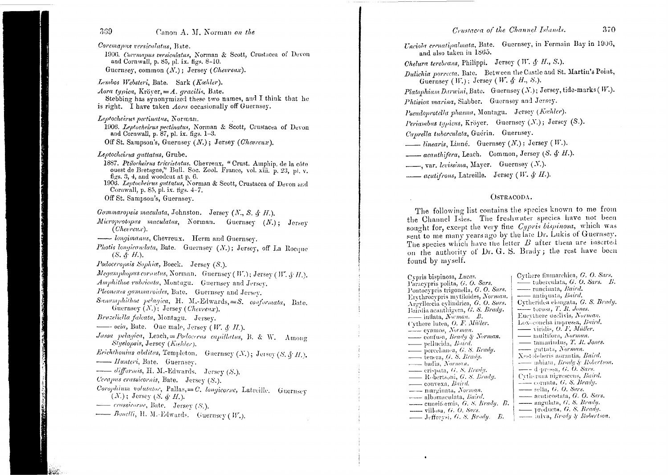Coremapus versiculatus, Bate.

1906. Coremapus versiculatus, Norman & Scott, Crustacea of Devon and Cornwall, p. 85, pl. ix. figs. 8-10. Guernsey, common  $(N)$ : Jersey (Chevreux).

Lembos Websteri, Bate. Sark (Kæhler).

Aora typica, Kröver,  $=A$ , gracilis, Bate. Stebbing has synonymized these two names, and I think that he is right. I have taken *Aora* occasionally off Guernsey.

Leptocheirus pectinatus, Norman.

1906. Leptocheirus pectinatus, Norman & Scott, Crustacea of Devon and Cornwall, p. 87, pl. ix. figs. 1-3.

Off St. Sampson's, Guernsey  $(N.)$ ; Jersey (Chevreux).

Leptocheirus auttatus. Grube.

- 1887. Ptilocheirus tricristatus. Chevreux. "Crust. Amphip, de la côte ouest de Bretagne," Bull. Soc. Zool. France, vol. xiii. p. 23, pl. v. figs. 3, 4, and woodcut at p.  $6$ .
- 1906. Leptocheirus guttatus, Norman & Scott, Crustacea of Devon and Cornwall, p. 85, pl. ix. figs. 4-7.

- Gammaropsis maculata, Johnston. Jersey (N., S. & H.).
- Microprotopus maculatus, Norman. Guernsey  $(N_1)$ : Jersey  $(Chervnew).$
- longimanus, Chevreux. Herm and Guernsey.
- Photis longicaudata, Bate. Guernsey  $(N.)$ ; Jersey, off La Rocane  $(S, \mathcal{A}, H)$ .
- Podoceropsis Sophice, Boeck. Jersey (S.).
- Megamphopus cornutus, Norman. Guernsey (W.); Jersey (W. & H.).
- Amphithoe rubricata, Montagu. Guernsey and Jersey.
- Pleonexes gammaroides, Bate. Guernsey and Jersey.
- Sanamphithoe pelagica, H. M.-Edwards,=S. conformata, Bate. Guernsey  $(N_i)$ ; Jersey (Chevreux).
- Bruzeliella falcata, Montagu. Jersey.
- $\longrightarrow$  ocia, Bate. One male, Jersey (W. & H.).
- Jassa pelagica, Leach, = Podocerus capillatus, B. & W. Among Styelopsis, Jersey (Kaehler).
- Erichthonius abditus, Templeton. Guernsey (N.); Jersey (S. & H.). - Hunteri, Bate. Guernsey.
- -- difformis, H. M.-Edwards. Jersey (S.).
- Cerapus crassicornis, Bate. Jersey (S.).
- Corophium volutator, Pallas,=C. longicorne, Latreille. Guernsey  $(N.)$ ; Jersey  $(S, \mathcal{L}, H)$ .
- crassicorne, Bate. Jersey (S.).
- Bonelli, H. M.-Edwards. Guernsey (W.).

Unciola crenatinalmata, Bate. Guernsey, in Fermain Bay in 1906, and also taken in 1865.

Chelura terebrans, Philippi. Jersey (W. & H., S.). Dulichia porrecta, Bate. Between the Castle and St. Martin's Point. Guernsey (W.); Jersey (W. & H., S.).

Platophium Darwini, Bate. Guernsey (N.); Jersey, tide-marks (W.).

Phtisica marina, Slabber. Guernsey and Jersey.

Pseudoprotella phasma, Montagu. Jersey (Kæhler).

Periambus typicus, Kröyer. Guernsey (N.); Jersey (S.).

Caprella tuberculata, Guérin. Guerusey.

*inearis*, Liuné. Guernsey  $(N.):$  Jersey  $( W. ).$ 

- acanthifera, Leach. Common, Jersey (S. & H.).

..., var. levissima, Mayer. Guernsey (N.).

*acutifrons*, Latreille. Jersey (W. & H.).

#### OSTRACODA.

The following list contains the species known to me from the Channel Isles. The freshwater species have not been sought for, except the very fine Cypris bispinosa, which was sent to me many years ago by the late Dr. Lukis of Guernsey. The species which have the letter B after them are inserted on the authority of Dr. G. S. Brady; the rest have been found by myself.

Cypris bispinosa, Lucas. Paracypris polita, G. O. Sars. Pontocypris trigonella, G. O. Sars. Ervthrocvpris mytiloides, Norman. Argyllœcia cylindrica, G. O. Sars. Bairdia acanthigera, G. S. Brady.  $\frac{1}{1-\epsilon}$  inflata, Norman. B. Cythere lutea, O. F. Müller. - cyamos, Norman. confusa, Brady & Norman. — pellucida, Baird.  $=$  porcelianea, G. S. Brady.  $\frac{1}{\sqrt{1-\frac{1}{c}}}$  tenera, G. S. Brady. - badia, Norman. crispata, G. S. Brady.  $\_\_\_\$  Robertsoni, G. S. Brady. convexa, Baird. - marginata, Norman. albomaculata, Baird.  $\equiv$  cuneiformis, G, S. Brady, B.  $---$  villosa,  $G. O. Sars.$ Jeffreysi, G. S. Brady. B.

Cythere finmarchica, G. O. Sars.  $\frac{1}{\sqrt{2}}$  tuberculata, G. O. Sars. B. - runcinata, Baird. -- antiquata, Baird. Cytheridea elongata, G. S. Brady.  $\frac{1}{\sqrt{1-\frac{1}{2}}}$  torosa, T. R. Jones. Eucythere aeclivis, Norman. Loxoconcha impressa, Baird.  $\longrightarrow$  viridis, O. F. Müller. - multifora, Norman, — tamarindus, T. R. Jones. - guttata, Norman. Xestoleberis aurantia, Baird. -- abiata, Brady & Robertson.  $---$  d pressa, G. O. Sars. Cytherma nigrescens, Baird.  $\frac{1}{\sqrt{2}}$  cornuta, G. S. Brady. - sella, G. O. Sars. acuticostata, G. O. Sars. - angulata, G. S. Brady. - producta, G. S. Brady. - inlva, *brady § Robertson*.

Off St. Sampson's. Guernsey.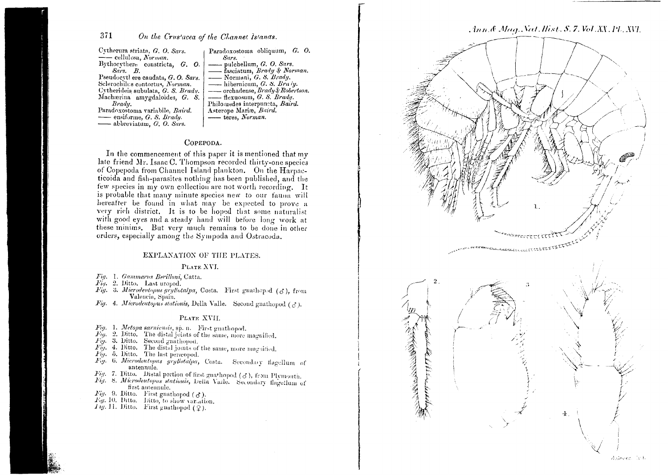#### 371 On the Crus'acea of the Channet Islands.

Cytherura striata, G. O. Sars.  $\frac{1}{2}$  cellulosa, Norman. Bythocythere constricta, G. O.  $Sars.$   $B.$ Pseudocythere caudata, G.O. Sars. Selerochilus contortus, Norman. Cytherideis subulata, G. S. Bradu. Machaerina amygdaloides, G. S. Brady. Paradoxostoma variabile. Baird.  $-$  ensiforme, G. S. Brady. - abbreviatum, G. O. Sars.

Paradoxostoma obliquum, G. O. Sars. pulchellum, G. O. Sars. fasciatum, *Brady & Norman*. - Normani, G. S. Brady.  $-$  hibernicum, G. S. Braty.  $\overline{\phantom{a}}$  orchadense, Brady & Robertson.  $-\rightarrow$  flexuosum, G. S. Brady. Philomedes interpuncta, Baird. Asterope Mariæ, Baird. --- teres, Norman.

#### COPEPODA.

In the commencement of this paper it is mentioned that my late friend Mr. Isaac C. Thompson recorded thirty-one species of Copepoda from Channel Island plankton. On the Harpacticoida and fish-parasites nothing has been published, and the few species in my own collection are not worth recording. It is probable that many minute species new to our fauna will hereafter be found in what may be expected to prove a very rich district. It is to be hoped that some naturalist with good eyes and a steady hand will before long work at these minims. But very much remains to be done in other orders, especially among the Sympoda and Ostracoda.

#### EXPLANATION OF THE PLATES.

#### PLATE XVI.

Fig. 1. Gammarus Berilloni, Catta.

 $Fiq$ , 2. Ditto. Last uropod.

- Fig. 3. Microdeutopus gryllotalpa, Costa. First gnathepod  $(A)$ , from Valencia, Spain.
- Fig. 4. Microdeutopus stationis, Della Valle. Second gnathopod ( $d$ ).

#### PLATE XVII.

- Fig. 1. Metopa sarniensis, sp. n. First gnathopod.
- $Fig. 2.$  Ditto. The distal joints of the same, more magnified.
- Fig. 3. Ditto. Second gnathopod.
- $\overrightarrow{F_{ij}}$ . 4. Ditto. The distal joints of the same, more magnified.
- $\overrightarrow{Fig.}$  5. Ditto. The last perapped.
- Fig. 6. Microdeutopus gryllotalpa, Costa. Secondary flagellum of antennule.
- Fig. 7. Ditto. Distal portion of first guarhopod ( $\delta$ ), from Plymouth.
- Fig. 8. Microdeutopus stationis, Della Valle. Secondary flagellum of first antennule.
- Fig. 9. Ditto. First gnathopod ( $\delta$ ).
- Fig. 10. Ditto. Ditto, to show variation.
- $I \eta$ , 11. Ditto. First gnathopod (2).